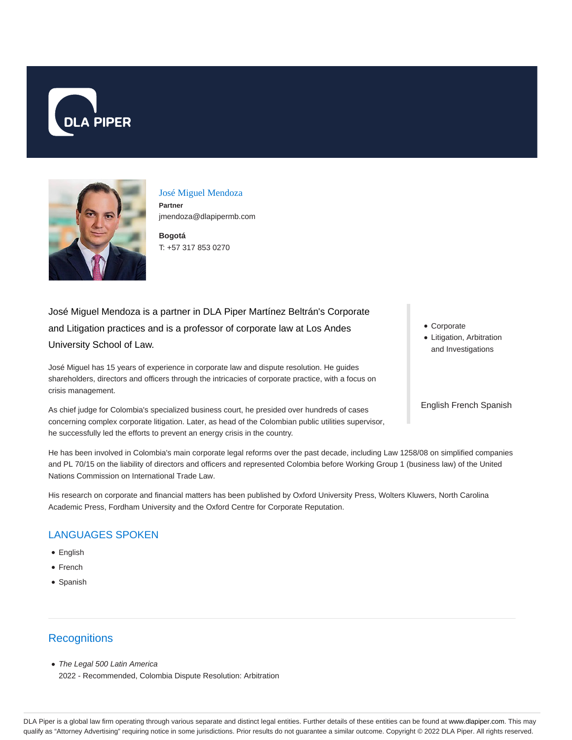



José Miguel Mendoza **Partner** jmendoza@dlapipermb.com

**Bogotá** T: +57 317 853 0270

# José Miguel Mendoza is a partner in DLA Piper Martínez Beltrán's Corporate and Litigation practices and is a professor of corporate law at Los Andes University School of Law.

José Miguel has 15 years of experience in corporate law and dispute resolution. He guides shareholders, directors and officers through the intricacies of corporate practice, with a focus on crisis management.

As chief judge for Colombia's specialized business court, he presided over hundreds of cases concerning complex corporate litigation. Later, as head of the Colombian public utilities supervisor, he successfully led the efforts to prevent an energy crisis in the country.

He has been involved in Colombia's main corporate legal reforms over the past decade, including Law 1258/08 on simplified companies and PL 70/15 on the liability of directors and officers and represented Colombia before Working Group 1 (business law) of the United Nations Commission on International Trade Law.

His research on corporate and financial matters has been published by Oxford University Press, Wolters Kluwers, North Carolina Academic Press, Fordham University and the Oxford Centre for Corporate Reputation.

### LANGUAGES SPOKEN

- English
- French
- Spanish

#### **Recognitions**

• The Legal 500 Latin America 2022 - Recommended, Colombia Dispute Resolution: Arbitration

- Corporate
- Litigation, Arbitration and Investigations

English French Spanish

DLA Piper is a global law firm operating through various separate and distinct legal entities. Further details of these entities can be found at www.dlapiper.com. This may qualify as "Attorney Advertising" requiring notice in some jurisdictions. Prior results do not guarantee a similar outcome. Copyright @ 2022 DLA Piper. All rights reserved.